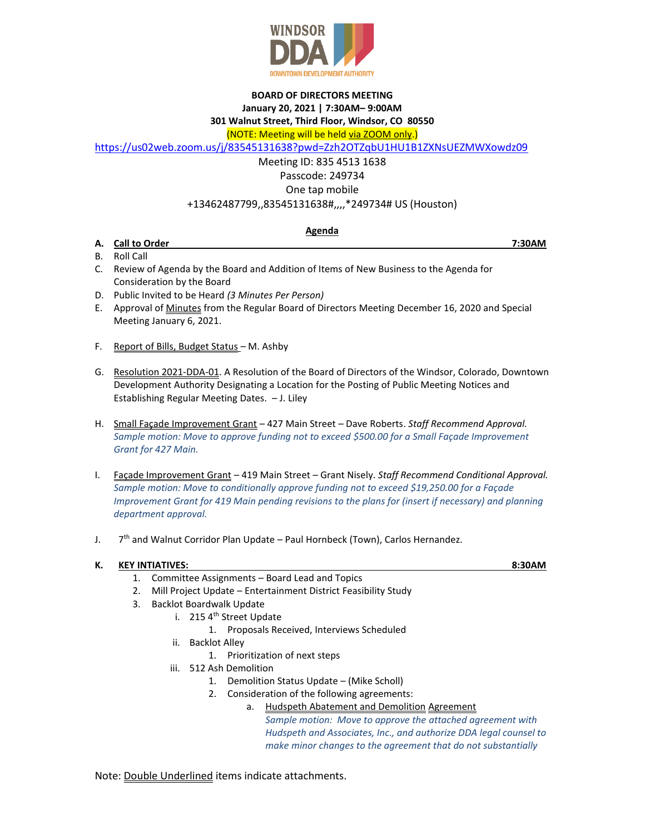

## **BOARD OF DIRECTORS MEETING January 20, 2021 | 7:30AM– 9:00AM 301 Walnut Street, Third Floor, Windsor, CO 80550**

(NOTE: Meeting will be held via ZOOM only.)

<https://us02web.zoom.us/j/83545131638?pwd=Zzh2OTZqbU1HU1B1ZXNsUEZMWXowdz09>

Meeting ID: 835 4513 1638

Passcode: 249734

One tap mobile

+13462487799,,83545131638#,,,,\*249734# US (Houston)

# **Agenda**

- **A. Call to Order 7:30AM** B. Roll Call
- C. Review of Agenda by the Board and Addition of Items of New Business to the Agenda for Consideration by the Board
- D. Public Invited to be Heard *(3 Minutes Per Person)*
- E. Approval of Minutes from the Regular Board of Directors Meeting December 16, 2020 and Special Meeting January 6, 2021.
- F. Report of Bills, Budget Status *–* M. Ashby
- G. Resolution 2021-DDA-01. A Resolution of the Board of Directors of the Windsor, Colorado, Downtown Development Authority Designating a Location for the Posting of Public Meeting Notices and Establishing Regular Meeting Dates. – J. Liley
- H. Small Façade Improvement Grant 427 Main Street Dave Roberts. *Staff Recommend Approval. Sample motion: Move to approve funding not to exceed \$500.00 for a Small Façade Improvement Grant for 427 Main.*
- I. Façade Improvement Grant 419 Main Street Grant Nisely. *Staff Recommend Conditional Approval. Sample motion: Move to conditionally approve funding not to exceed \$19,250.00 for a Façade Improvement Grant for 419 Main pending revisions to the plans for (insert if necessary) and planning department approval.*
- $J.$ 7<sup>th</sup> and Walnut Corridor Plan Update – Paul Hornbeck (Town), Carlos Hernandez.

# **K. KEY INTIATIVES: 8:30AM**

- 1. Committee Assignments Board Lead and Topics
- 2. Mill Project Update Entertainment District Feasibility Study
- 3. Backlot Boardwalk Update
	- i. 215 4<sup>th</sup> Street Update
		- 1. Proposals Received, Interviews Scheduled
	- ii. Backlot Alley
		- 1. Prioritization of next steps
	- iii. 512 Ash Demolition
		- 1. Demolition Status Update (Mike Scholl)
		- 2. Consideration of the following agreements:
			- a. Hudspeth Abatement and Demolition Agreement
				- *Sample motion: Move to approve the attached agreement with Hudspeth and Associates, Inc., and authorize DDA legal counsel to make minor changes to the agreement that do not substantially*

Note: Double Underlined items indicate attachments.